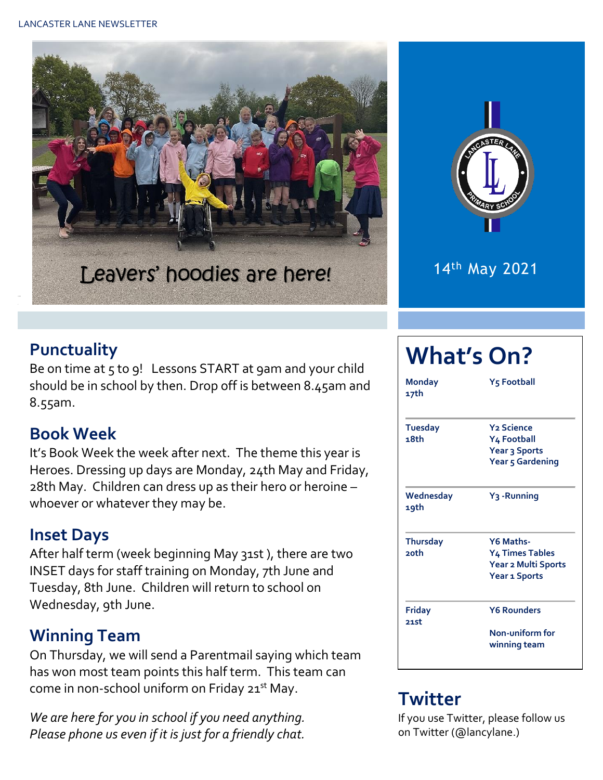



14th May 2021

#### **Punctuality**

Be on time at 5 to 9! Lessons START at 9am and your child should be in school by then. Drop off is between 8.45am and 8.55am.

#### **Book Week**

It's Book Week the week after next. The theme this year is Heroes. Dressing up days are Monday, 24th May and Friday, 28th May. Children can dress up as their hero or heroine – whoever or whatever they may be.

#### **Inset Days**

After half term (week beginning May 31st ), there are two INSET days for staff training on Monday, 7th June and Tuesday, 8th June. Children will return to school on Wednesday, 9th June.

#### **Winning Team**

On Thursday, we will send a Parentmail saying which team has won most team points this half term. This team can come in non-school uniform on Friday 21<sup>st</sup> May.

*We are here for you in school if you need anything. Please phone us even if it is just for a friendly chat.* 

# **What's On?**

| <b>Monday</b><br>17th      | Y5 Football                                                                        |  |  |  |  |
|----------------------------|------------------------------------------------------------------------------------|--|--|--|--|
| <b>Tuesday</b><br>18th     | <b>Y<sub>2</sub></b> Science<br>Y4 Football<br>Year 3 Sports<br>Year 5 Gardening   |  |  |  |  |
| Wednesday<br>19th          | Y <sub>3</sub> -Running                                                            |  |  |  |  |
| <b>Thursday</b><br>$2$ nth | Y6 Maths-<br><b>Y4 Times Tables</b><br>Year 2 Multi Sports<br><b>Year 1 Sports</b> |  |  |  |  |
| Friday<br>21st             | <b>Y6 Rounders</b><br>Non-uniform for<br>winning team                              |  |  |  |  |

# **Twitter**

If you use Twitter, please follow us on Twitter (@lancylane.)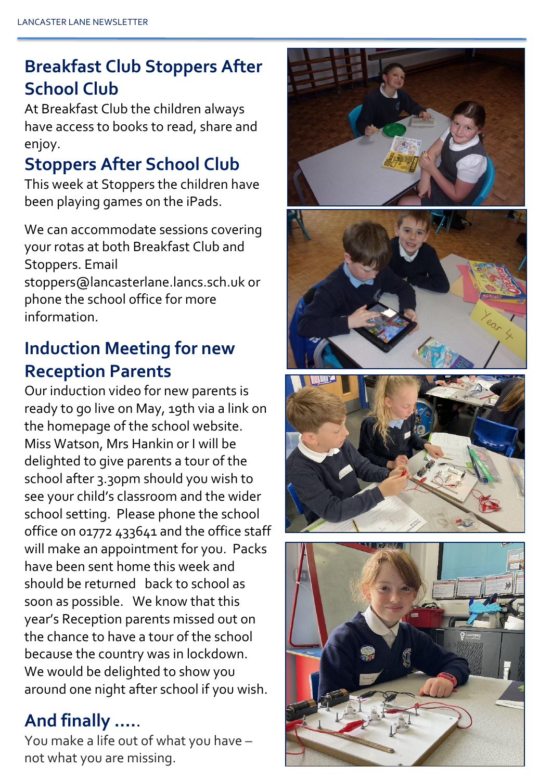# **Breakfast Club Stoppers After School Club**

At Breakfast Club the children always have access to books to read, share and enjoy.

# **Stoppers After School Club**

This week at Stoppers the children have been playing games on the iPads.

We can accommodate sessions covering your rotas at both Breakfast Club and Stoppers. Email stoppers@lancasterlane.lancs.sch.uk or phone the school office for more information.

# **Induction Meeting for new Reception Parents**

Our induction video for new parents is ready to go live on May, 19th via a link on the homepage of the school website. Miss Watson, Mrs Hankin or I will be delighted to give parents a tour of the school after 3.30pm should you wish to see your child's classroom and the wider school setting. Please phone the school office on 01772 433641 and the office staff will make an appointment for you. Packs have been sent home this week and should be returned back to school as soon as possible. We know that this year's Reception parents missed out on the chance to have a tour of the school because the country was in lockdown. We would be delighted to show you around one night after school if you wish.

# **And finally ….**.

You make a life out of what you have – not what you are missing.